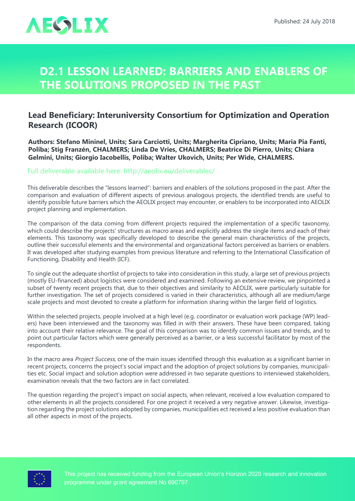

## **D2.1 Lesson Learned: Barriers and Enablers of the Solutions Proposed in the Past**

## **Lead Beneficiary: Interuniversity Consortium for Optimization and Operation Research (ICOOR)**

**Authors: Stefano Mininel, Units; Sara Carciotti, Units; Margherita Cipriano, Units; Maria Pia Fanti, Poliba; Stig Franzén, CHALMERS; Linda De Vries, CHALMERS; Beatrice Di Pierro, Units; Chiara Gelmini, Units; Giorgio Iacobellis, Poliba; Walter Ukovich, Units; Per Wide, CHALMERS.**

## Full deliverable available here: <http://aeolix.eu/deliverables/>

This deliverable describes the "lessons learned": barriers and enablers of the solutions proposed in the past. After the comparison and evaluation of different aspects of previous analogous projects, the identified trends are useful to identify possible future barriers which the AEOLIX project may encounter, or enablers to be incorporated into AEOLIX project planning and implementation.

The comparison of the data coming from different projects required the implementation of a specific taxonomy, which could describe the projects' structures as macro areas and explicitly address the single items and each of their elements. This taxonomy was specifically developed to describe the general main characteristics of the projects, outline their successful elements and the environmental and organizational factors perceived as barriers or enablers. It was developed after studying examples from previous literature and referring to the International Classification of Functioning, Disability and Health (ICF).

To single out the adequate shortlist of projects to take into consideration in this study, a large set of previous projects (mostly EU-financed) about logistics were considered and examined. Following an extensive review, we pinpointed a subset of twenty recent projects that, due to their objectives and similarity to AEOLIX, were particularly suitable for further investigation. The set of projects considered is varied in their characteristics, although all are medium/large scale projects and most devoted to create a platform for information sharing within the larger field of logistics.

Within the selected projects, people involved at a high level (e.g. coordinator or evaluation work package (WP) leaders) have been interviewed and the taxonomy was filled in with their answers. These have been compared, taking into account their relative relevance. The goal of this comparison was to identify common issues and trends, and to point out particular factors which were generally perceived as a barrier, or a less successful facilitator by most of the respondents.

In the macro area Project Success, one of the main issues identified through this evaluation as a significant barrier in recent projects, concerns the project's social impact and the adoption of project solutions by companies, municipalities etc. Social impact and solution adoption were addressed in two separate questions to interviewed stakeholders, examination reveals that the two factors are in fact correlated.

The question regarding the project's impact on social aspects, when relevant, received a low evaluation compared to other elements in all the projects considered. For one project it received a very negative answer. Likewise, investigation regarding the project solutions adopted by companies, municipalities ect received a less positive evaluation than all other aspects in most of the projects.